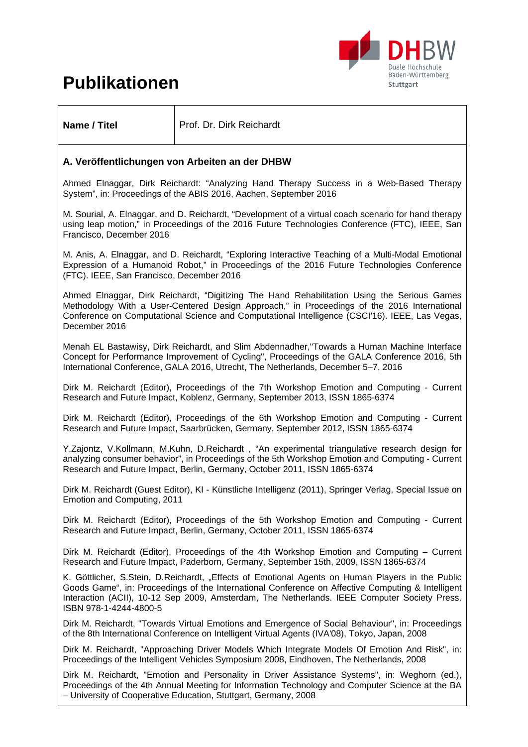# **Publikationen**



**Name / Titel**  Prof. Dr. Dirk Reichardt

### **A. Veröffentlichungen von Arbeiten an der DHBW**

Ahmed Elnaggar, Dirk Reichardt: "Analyzing Hand Therapy Success in a Web-Based Therapy System", in: Proceedings of the ABIS 2016, Aachen, September 2016

M. Sourial, A. Elnaggar, and D. Reichardt, "Development of a virtual coach scenario for hand therapy using leap motion," in Proceedings of the 2016 Future Technologies Conference (FTC), IEEE, San Francisco, December 2016

M. Anis, A. Elnaggar, and D. Reichardt, "Exploring Interactive Teaching of a Multi-Modal Emotional Expression of a Humanoid Robot," in Proceedings of the 2016 Future Technologies Conference (FTC). IEEE, San Francisco, December 2016

Ahmed Elnaggar, Dirk Reichardt, "Digitizing The Hand Rehabilitation Using the Serious Games Methodology With a User-Centered Design Approach," in Proceedings of the 2016 International Conference on Computational Science and Computational Intelligence (CSCI'16). IEEE, Las Vegas, December 2016

Menah EL Bastawisy, Dirk Reichardt, and Slim Abdennadher,"Towards a Human Machine Interface Concept for Performance Improvement of Cycling", Proceedings of the GALA Conference 2016, 5th International Conference, GALA 2016, Utrecht, The Netherlands, December 5–7, 2016

Dirk M. Reichardt (Editor), Proceedings of the 7th Workshop Emotion and Computing - Current Research and Future Impact, Koblenz, Germany, September 2013, ISSN 1865-6374

Dirk M. Reichardt (Editor), Proceedings of the 6th Workshop Emotion and Computing - Current Research and Future Impact, Saarbrücken, Germany, September 2012, ISSN 1865-6374

Y.Zajontz, V.Kollmann, M.Kuhn, D.Reichardt , "An experimental triangulative research design for analyzing consumer behavior", in Proceedings of the 5th Workshop Emotion and Computing - Current Research and Future Impact, Berlin, Germany, October 2011, ISSN 1865-6374

Dirk M. Reichardt (Guest Editor), KI - Künstliche Intelligenz (2011), Springer Verlag, Special Issue on Emotion and Computing, 2011

Dirk M. Reichardt (Editor), Proceedings of the 5th Workshop Emotion and Computing - Current Research and Future Impact, Berlin, Germany, October 2011, ISSN 1865-6374

Dirk M. Reichardt (Editor), Proceedings of the 4th Workshop Emotion and Computing – Current Research and Future Impact, Paderborn, Germany, September 15th, 2009, ISSN 1865-6374

K. Göttlicher, S.Stein, D.Reichardt, "Effects of Emotional Agents on Human Players in the Public Goods Game", in: Proceedings of the International Conference on Affective Computing & Intelligent Interaction (ACII), 10-12 Sep 2009, Amsterdam, The Netherlands. IEEE Computer Society Press. ISBN 978-1-4244-4800-5

Dirk M. Reichardt, "Towards Virtual Emotions and Emergence of Social Behaviour", in: Proceedings of the 8th International Conference on Intelligent Virtual Agents (IVA'08), Tokyo, Japan, 2008

Dirk M. Reichardt, "Approaching Driver Models Which Integrate Models Of Emotion And Risk", in: Proceedings of the Intelligent Vehicles Symposium 2008, Eindhoven, The Netherlands, 2008

Dirk M. Reichardt, "Emotion and Personality in Driver Assistance Systems", in: Weghorn (ed.), Proceedings of the 4th Annual Meeting for Information Technology and Computer Science at the BA – University of Cooperative Education, Stuttgart, Germany, 2008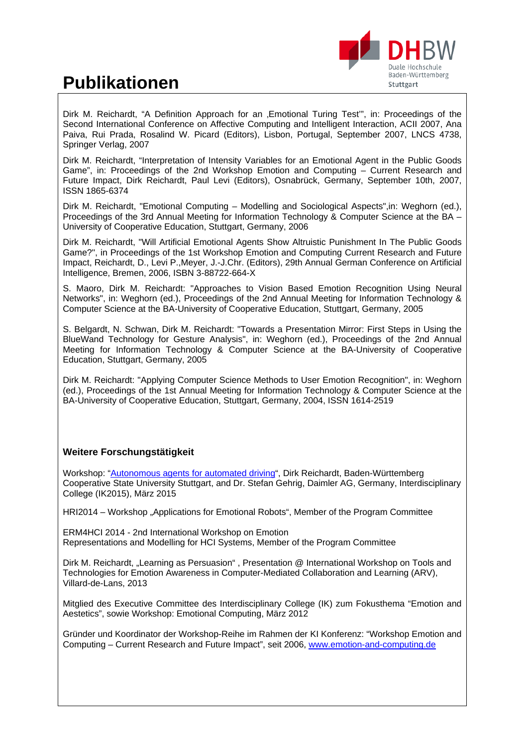# **Publikationen**



Dirk M. Reichardt, "A Definition Approach for an 'Emotional Turing Test'", in: Proceedings of the Second International Conference on Affective Computing and Intelligent Interaction, ACII 2007, Ana Paiva, Rui Prada, Rosalind W. Picard (Editors), Lisbon, Portugal, September 2007, LNCS 4738, Springer Verlag, 2007

Dirk M. Reichardt, "Interpretation of Intensity Variables for an Emotional Agent in the Public Goods Game", in: Proceedings of the 2nd Workshop Emotion and Computing – Current Research and Future Impact, Dirk Reichardt, Paul Levi (Editors), Osnabrück, Germany, September 10th, 2007, ISSN 1865-6374

Dirk M. Reichardt, "Emotional Computing – Modelling and Sociological Aspects",in: Weghorn (ed.), Proceedings of the 3rd Annual Meeting for Information Technology & Computer Science at the BA – University of Cooperative Education, Stuttgart, Germany, 2006

Dirk M. Reichardt, "Will Artificial Emotional Agents Show Altruistic Punishment In The Public Goods Game?", in Proceedings of the 1st Workshop Emotion and Computing Current Research and Future Impact, Reichardt, D., Levi P.,Meyer, J.-J.Chr. (Editors), 29th Annual German Conference on Artificial Intelligence, Bremen, 2006, ISBN 3-88722-664-X

S. Maoro, Dirk M. Reichardt: "Approaches to Vision Based Emotion Recognition Using Neural Networks", in: Weghorn (ed.), Proceedings of the 2nd Annual Meeting for Information Technology & Computer Science at the BA-University of Cooperative Education, Stuttgart, Germany, 2005

S. Belgardt, N. Schwan, Dirk M. Reichardt: "Towards a Presentation Mirror: First Steps in Using the BlueWand Technology for Gesture Analysis", in: Weghorn (ed.), Proceedings of the 2nd Annual Meeting for Information Technology & Computer Science at the BA-University of Cooperative Education, Stuttgart, Germany, 2005

Dirk M. Reichardt: "Applying Computer Science Methods to User Emotion Recognition", in: Weghorn (ed.), Proceedings of the 1st Annual Meeting for Information Technology & Computer Science at the BA-University of Cooperative Education, Stuttgart, Germany, 2004, ISSN 1614-2519

## **Weitere Forschungstätigkeit**

Workshop: "Autonomous agents for automated driving", Dirk Reichardt, Baden-Württemberg Cooperative State University Stuttgart, and Dr. Stefan Gehrig, Daimler AG, Germany, Interdisciplinary College (IK2015), März 2015

HRI2014 – Workshop "Applications for Emotional Robots", Member of the Program Committee

ERM4HCI 2014 - 2nd International Workshop on Emotion Representations and Modelling for HCI Systems, Member of the Program Committee

Dirk M. Reichardt, "Learning as Persuasion", Presentation @ International Workshop on Tools and Technologies for Emotion Awareness in Computer-Mediated Collaboration and Learning (ARV), Villard-de-Lans, 2013

Mitglied des Executive Committee des Interdisciplinary College (IK) zum Fokusthema "Emotion and Aestetics", sowie Workshop: Emotional Computing, März 2012

Gründer und Koordinator der Workshop-Reihe im Rahmen der KI Konferenz: "Workshop Emotion and Computing – Current Research and Future Impact", seit 2006, www.emotion-and-computing.de